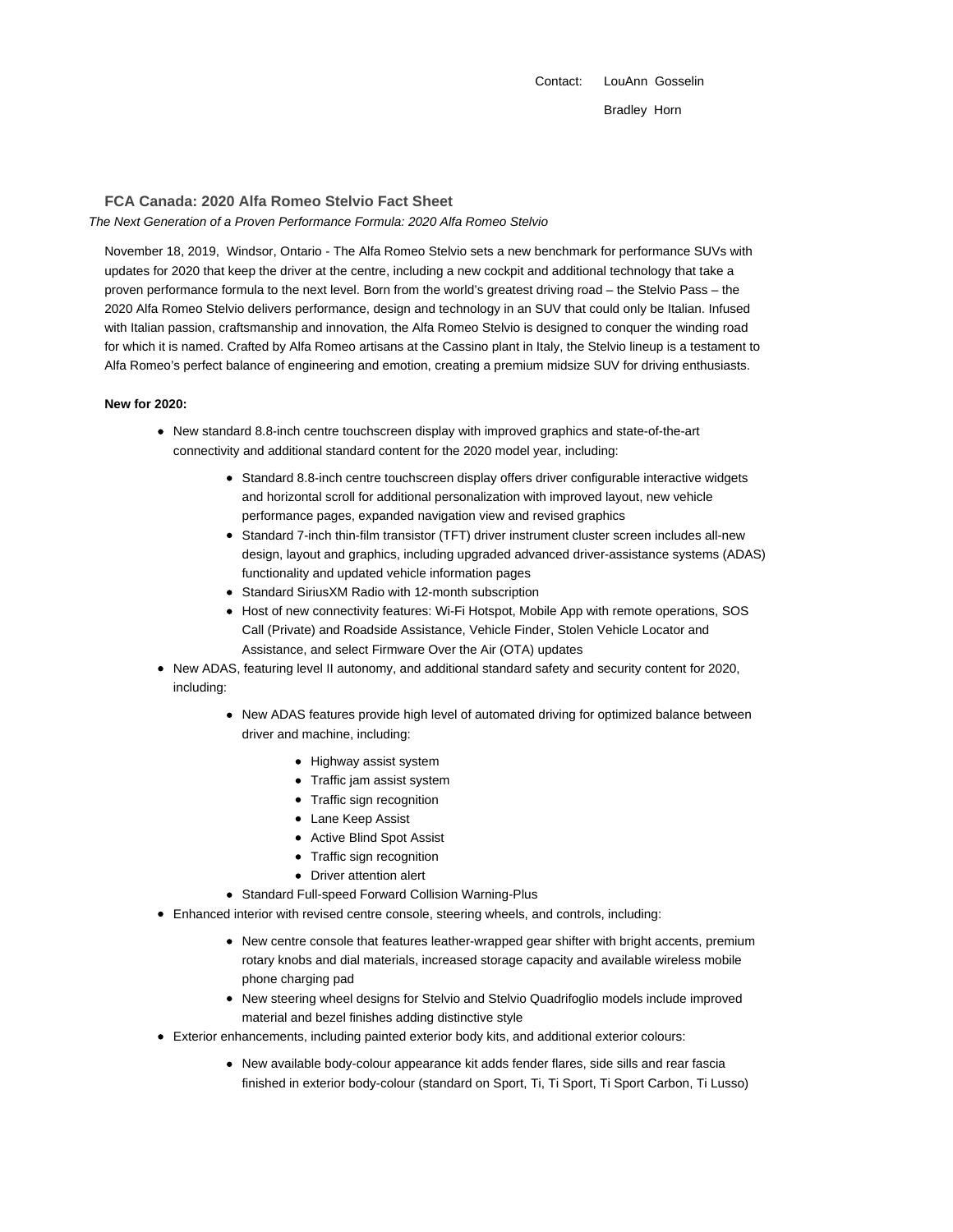Contact: LouAnn Gosselin Bradley Horn

# **FCA Canada: 2020 Alfa Romeo Stelvio Fact Sheet**

The Next Generation of a Proven Performance Formula: 2020 Alfa Romeo Stelvio

November 18, 2019, Windsor, Ontario - The Alfa Romeo Stelvio sets a new benchmark for performance SUVs with updates for 2020 that keep the driver at the centre, including a new cockpit and additional technology that take a proven performance formula to the next level. Born from the world's greatest driving road – the Stelvio Pass – the 2020 Alfa Romeo Stelvio delivers performance, design and technology in an SUV that could only be Italian. Infused with Italian passion, craftsmanship and innovation, the Alfa Romeo Stelvio is designed to conquer the winding road for which it is named. Crafted by Alfa Romeo artisans at the Cassino plant in Italy, the Stelvio lineup is a testament to Alfa Romeo's perfect balance of engineering and emotion, creating a premium midsize SUV for driving enthusiasts.

### **New for 2020:**

- New standard 8.8-inch centre touchscreen display with improved graphics and state-of-the-art connectivity and additional standard content for the 2020 model year, including:
	- Standard 8.8-inch centre touchscreen display offers driver configurable interactive widgets and horizontal scroll for additional personalization with improved layout, new vehicle performance pages, expanded navigation view and revised graphics
	- Standard 7-inch thin-film transistor (TFT) driver instrument cluster screen includes all-new design, layout and graphics, including upgraded advanced driver-assistance systems (ADAS) functionality and updated vehicle information pages
	- Standard SiriusXM Radio with 12-month subscription
	- Host of new connectivity features: Wi-Fi Hotspot, Mobile App with remote operations, SOS Call (Private) and Roadside Assistance, Vehicle Finder, Stolen Vehicle Locator and Assistance, and select Firmware Over the Air (OTA) updates
- New ADAS, featuring level II autonomy, and additional standard safety and security content for 2020, including:
	- New ADAS features provide high level of automated driving for optimized balance between driver and machine, including:
		- Highway assist system
		- Traffic jam assist system
		- Traffic sign recognition
		- Lane Keep Assist
		- Active Blind Spot Assist
		- Traffic sign recognition
		- Driver attention alert
	- Standard Full-speed Forward Collision Warning-Plus
- Enhanced interior with revised centre console, steering wheels, and controls, including:
	- New centre console that features leather-wrapped gear shifter with bright accents, premium rotary knobs and dial materials, increased storage capacity and available wireless mobile phone charging pad
	- New steering wheel designs for Stelvio and Stelvio Quadrifoglio models include improved material and bezel finishes adding distinctive style
- Exterior enhancements, including painted exterior body kits, and additional exterior colours:
	- New available body-colour appearance kit adds fender flares, side sills and rear fascia finished in exterior body-colour (standard on Sport, Ti, Ti Sport, Ti Sport Carbon, Ti Lusso)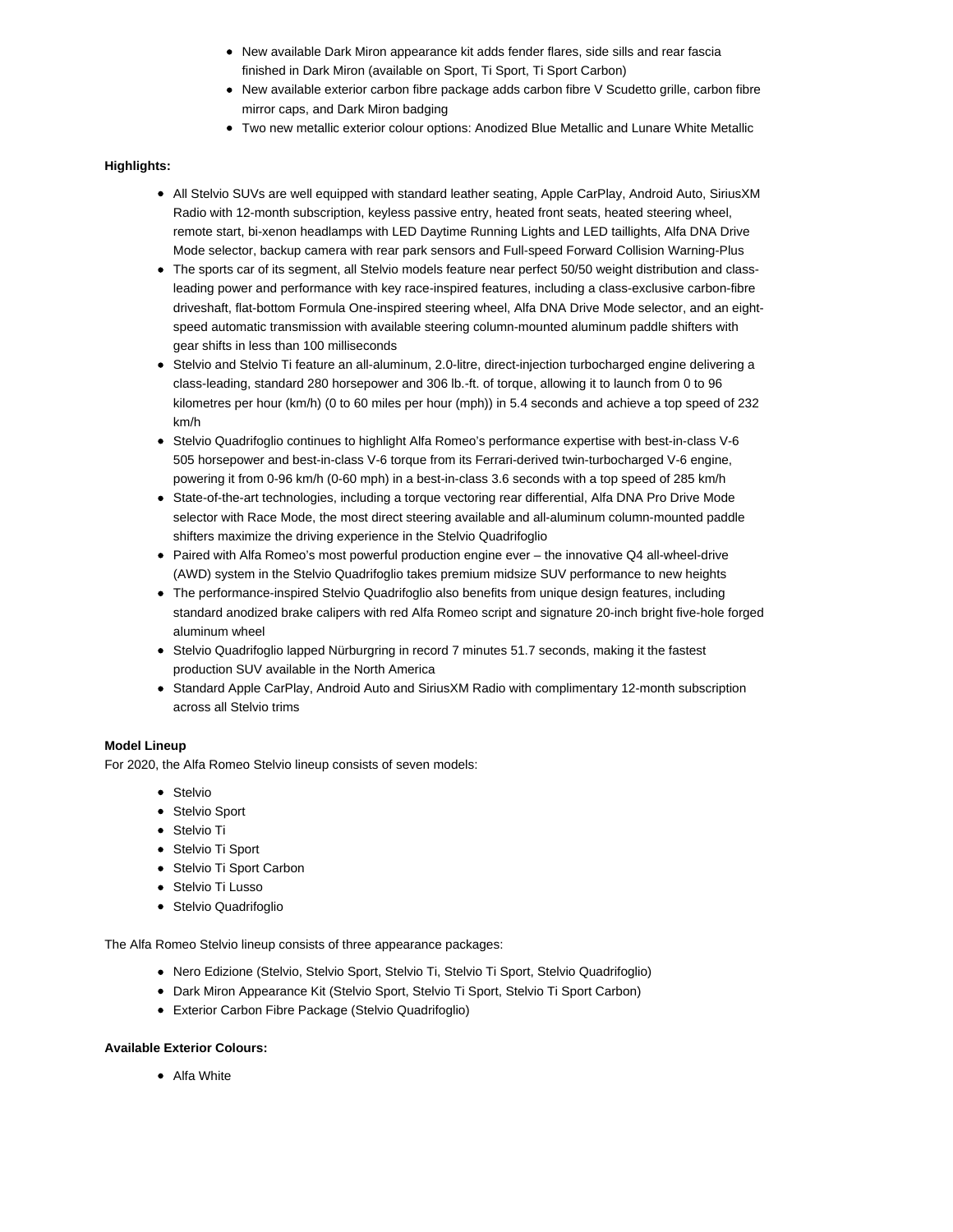- New available Dark Miron appearance kit adds fender flares, side sills and rear fascia finished in Dark Miron (available on Sport, Ti Sport, Ti Sport Carbon)
- New available exterior carbon fibre package adds carbon fibre V Scudetto grille, carbon fibre mirror caps, and Dark Miron badging
- Two new metallic exterior colour options: Anodized Blue Metallic and Lunare White Metallic

## **Highlights:**

- All Stelvio SUVs are well equipped with standard leather seating, Apple CarPlay, Android Auto, SiriusXM Radio with 12-month subscription, keyless passive entry, heated front seats, heated steering wheel, remote start, bi-xenon headlamps with LED Daytime Running Lights and LED taillights, Alfa DNA Drive Mode selector, backup camera with rear park sensors and Full-speed Forward Collision Warning-Plus
- The sports car of its segment, all Stelvio models feature near perfect 50/50 weight distribution and classleading power and performance with key race-inspired features, including a class-exclusive carbon-fibre driveshaft, flat-bottom Formula One-inspired steering wheel, Alfa DNA Drive Mode selector, and an eightspeed automatic transmission with available steering column-mounted aluminum paddle shifters with gear shifts in less than 100 milliseconds
- Stelvio and Stelvio Ti feature an all-aluminum, 2.0-litre, direct-injection turbocharged engine delivering a class-leading, standard 280 horsepower and 306 lb.-ft. of torque, allowing it to launch from 0 to 96 kilometres per hour (km/h) (0 to 60 miles per hour (mph)) in 5.4 seconds and achieve a top speed of 232 km/h
- Stelvio Quadrifoglio continues to highlight Alfa Romeo's performance expertise with best-in-class V-6 505 horsepower and best-in-class V-6 torque from its Ferrari-derived twin-turbocharged V-6 engine, powering it from 0-96 km/h (0-60 mph) in a best-in-class 3.6 seconds with a top speed of 285 km/h
- State-of-the-art technologies, including a torque vectoring rear differential, Alfa DNA Pro Drive Mode selector with Race Mode, the most direct steering available and all-aluminum column-mounted paddle shifters maximize the driving experience in the Stelvio Quadrifoglio
- Paired with Alfa Romeo's most powerful production engine ever the innovative Q4 all-wheel-drive (AWD) system in the Stelvio Quadrifoglio takes premium midsize SUV performance to new heights
- The performance-inspired Stelvio Quadrifoglio also benefits from unique design features, including standard anodized brake calipers with red Alfa Romeo script and signature 20-inch bright five-hole forged aluminum wheel
- Stelvio Quadrifoglio lapped Nürburgring in record 7 minutes 51.7 seconds, making it the fastest production SUV available in the North America
- Standard Apple CarPlay, Android Auto and SiriusXM Radio with complimentary 12-month subscription across all Stelvio trims

#### **Model Lineup**

For 2020, the Alfa Romeo Stelvio lineup consists of seven models:

- Stelvio
- Stelvio Sport
- Stelvio Ti
- Stelvio Ti Sport
- Stelvio Ti Sport Carbon
- **Stelvio Ti Lusso**
- Stelvio Quadrifoglio

The Alfa Romeo Stelvio lineup consists of three appearance packages:

- Nero Edizione (Stelvio, Stelvio Sport, Stelvio Ti, Stelvio Ti Sport, Stelvio Quadrifoglio)
- Dark Miron Appearance Kit (Stelvio Sport, Stelvio Ti Sport, Stelvio Ti Sport Carbon)
- Exterior Carbon Fibre Package (Stelvio Quadrifoglio)

#### **Available Exterior Colours:**

• Alfa White